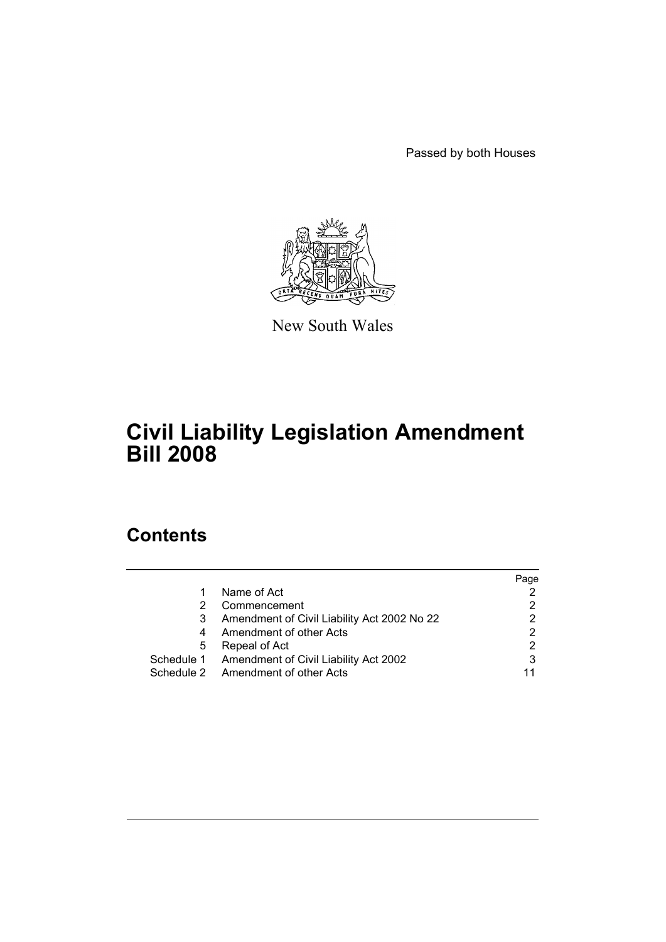Passed by both Houses



New South Wales

# **Civil Liability Legislation Amendment Bill 2008**

# **Contents**

|   |                                                  | Page |
|---|--------------------------------------------------|------|
|   | Name of Act                                      |      |
| 2 | Commencement                                     |      |
| 3 | Amendment of Civil Liability Act 2002 No 22      |      |
| 4 | Amendment of other Acts                          |      |
| 5 | Repeal of Act                                    |      |
|   | Schedule 1 Amendment of Civil Liability Act 2002 |      |
|   | Schedule 2 Amendment of other Acts               |      |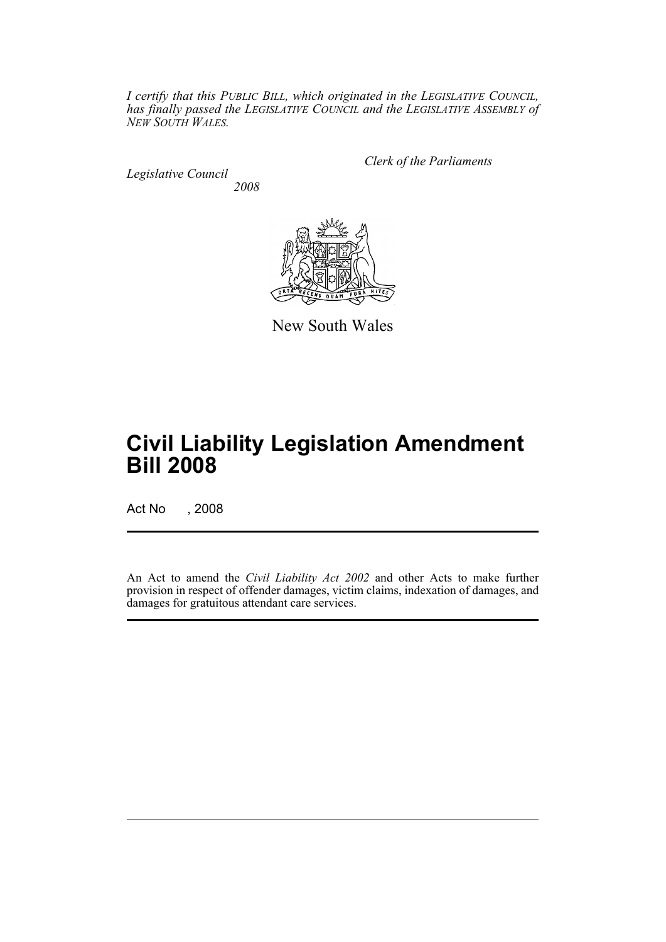*I certify that this PUBLIC BILL, which originated in the LEGISLATIVE COUNCIL, has finally passed the LEGISLATIVE COUNCIL and the LEGISLATIVE ASSEMBLY of NEW SOUTH WALES.*

*Legislative Council 2008* *Clerk of the Parliaments*



New South Wales

# **Civil Liability Legislation Amendment Bill 2008**

Act No , 2008

An Act to amend the *Civil Liability Act 2002* and other Acts to make further provision in respect of offender damages, victim claims, indexation of damages, and damages for gratuitous attendant care services.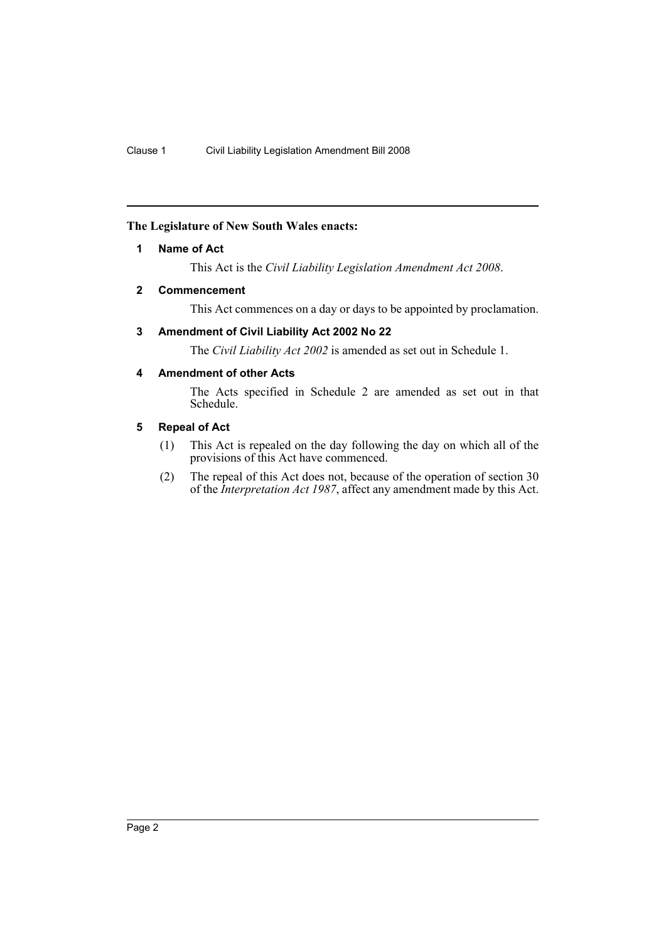## <span id="page-2-0"></span>**The Legislature of New South Wales enacts:**

## **1 Name of Act**

This Act is the *Civil Liability Legislation Amendment Act 2008*.

## <span id="page-2-1"></span>**2 Commencement**

This Act commences on a day or days to be appointed by proclamation.

## <span id="page-2-2"></span>**3 Amendment of Civil Liability Act 2002 No 22**

The *Civil Liability Act 2002* is amended as set out in Schedule 1.

## <span id="page-2-3"></span>**4 Amendment of other Acts**

The Acts specified in Schedule 2 are amended as set out in that Schedule.

## <span id="page-2-4"></span>**5 Repeal of Act**

- (1) This Act is repealed on the day following the day on which all of the provisions of this Act have commenced.
- (2) The repeal of this Act does not, because of the operation of section 30 of the *Interpretation Act 1987*, affect any amendment made by this Act.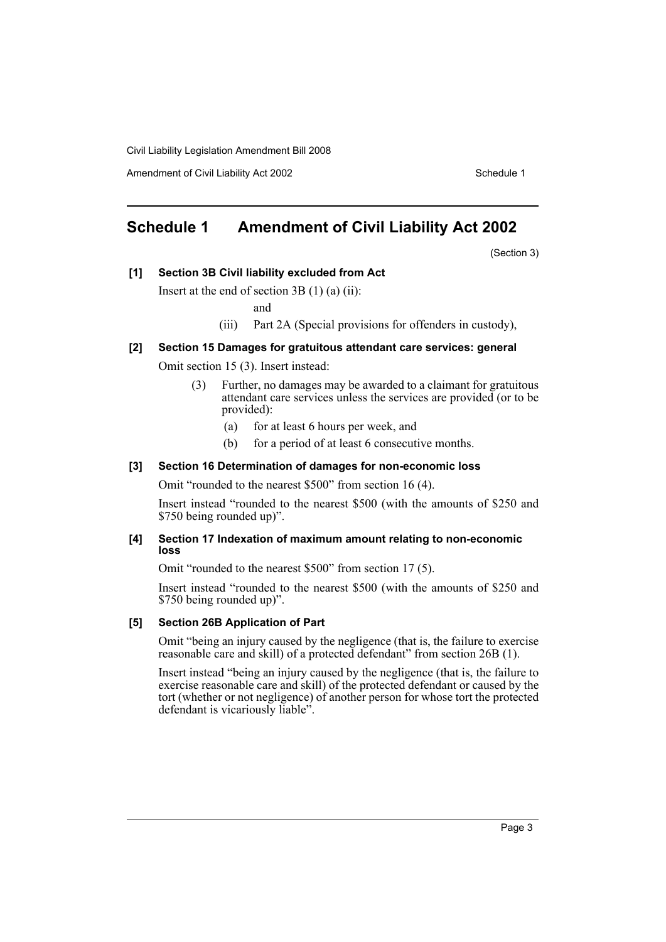Amendment of Civil Liability Act 2002 Schedule 1

# <span id="page-3-0"></span>**Schedule 1 Amendment of Civil Liability Act 2002**

(Section 3)

**[1] Section 3B Civil liability excluded from Act**

Insert at the end of section 3B (1) (a) (ii):

and

(iii) Part 2A (Special provisions for offenders in custody),

## **[2] Section 15 Damages for gratuitous attendant care services: general**

Omit section 15 (3). Insert instead:

- (3) Further, no damages may be awarded to a claimant for gratuitous attendant care services unless the services are provided (or to be provided):
	- (a) for at least 6 hours per week, and
	- (b) for a period of at least 6 consecutive months.

#### **[3] Section 16 Determination of damages for non-economic loss**

Omit "rounded to the nearest \$500" from section 16 (4).

Insert instead "rounded to the nearest \$500 (with the amounts of \$250 and \$750 being rounded up)".

#### **[4] Section 17 Indexation of maximum amount relating to non-economic loss**

Omit "rounded to the nearest \$500" from section 17 (5).

Insert instead "rounded to the nearest \$500 (with the amounts of \$250 and \$750 being rounded up)".

#### **[5] Section 26B Application of Part**

Omit "being an injury caused by the negligence (that is, the failure to exercise reasonable care and skill) of a protected defendant" from section 26B (1).

Insert instead "being an injury caused by the negligence (that is, the failure to exercise reasonable care and skill) of the protected defendant or caused by the tort (whether or not negligence) of another person for whose tort the protected defendant is vicariously liable".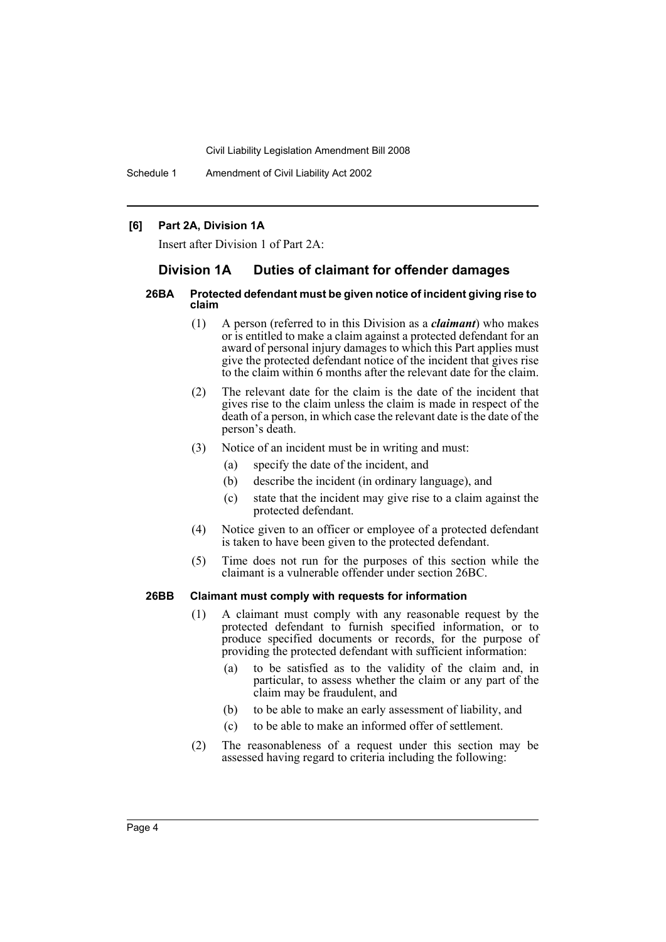Schedule 1 Amendment of Civil Liability Act 2002

#### **[6] Part 2A, Division 1A**

Insert after Division 1 of Part 2A:

## **Division 1A Duties of claimant for offender damages**

#### **26BA Protected defendant must be given notice of incident giving rise to claim**

- (1) A person (referred to in this Division as a *claimant*) who makes or is entitled to make a claim against a protected defendant for an award of personal injury damages to which this Part applies must give the protected defendant notice of the incident that gives rise to the claim within 6 months after the relevant date for the claim.
- (2) The relevant date for the claim is the date of the incident that gives rise to the claim unless the claim is made in respect of the death of a person, in which case the relevant date is the date of the person's death.
- (3) Notice of an incident must be in writing and must:
	- (a) specify the date of the incident, and
	- (b) describe the incident (in ordinary language), and
	- (c) state that the incident may give rise to a claim against the protected defendant.
- (4) Notice given to an officer or employee of a protected defendant is taken to have been given to the protected defendant.
- (5) Time does not run for the purposes of this section while the claimant is a vulnerable offender under section 26BC.

#### **26BB Claimant must comply with requests for information**

- (1) A claimant must comply with any reasonable request by the protected defendant to furnish specified information, or to produce specified documents or records, for the purpose of providing the protected defendant with sufficient information:
	- (a) to be satisfied as to the validity of the claim and, in particular, to assess whether the claim or any part of the claim may be fraudulent, and
	- (b) to be able to make an early assessment of liability, and
	- (c) to be able to make an informed offer of settlement.
- (2) The reasonableness of a request under this section may be assessed having regard to criteria including the following: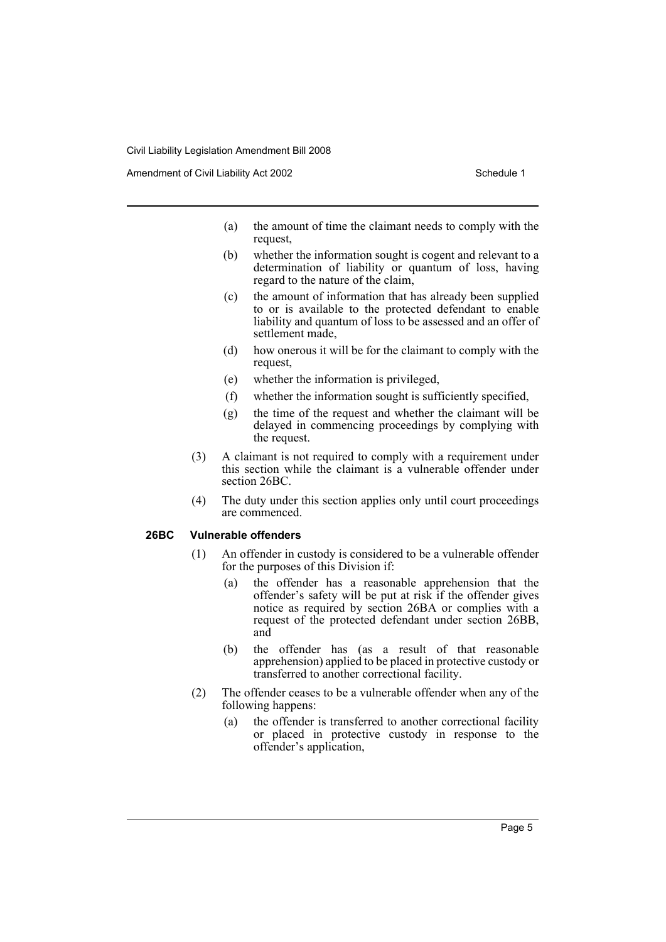Amendment of Civil Liability Act 2002 Schedule 1

- (a) the amount of time the claimant needs to comply with the request,
- (b) whether the information sought is cogent and relevant to a determination of liability or quantum of loss, having regard to the nature of the claim,
- (c) the amount of information that has already been supplied to or is available to the protected defendant to enable liability and quantum of loss to be assessed and an offer of settlement made,
- (d) how onerous it will be for the claimant to comply with the request,
- (e) whether the information is privileged,
- (f) whether the information sought is sufficiently specified,
- (g) the time of the request and whether the claimant will be delayed in commencing proceedings by complying with the request.
- (3) A claimant is not required to comply with a requirement under this section while the claimant is a vulnerable offender under section 26BC.
- (4) The duty under this section applies only until court proceedings are commenced.

## **26BC Vulnerable offenders**

- (1) An offender in custody is considered to be a vulnerable offender for the purposes of this Division if:
	- (a) the offender has a reasonable apprehension that the offender's safety will be put at risk if the offender gives notice as required by section 26BA or complies with a request of the protected defendant under section 26BB, and
	- (b) the offender has (as a result of that reasonable apprehension) applied to be placed in protective custody or transferred to another correctional facility.
- (2) The offender ceases to be a vulnerable offender when any of the following happens:
	- (a) the offender is transferred to another correctional facility or placed in protective custody in response to the offender's application,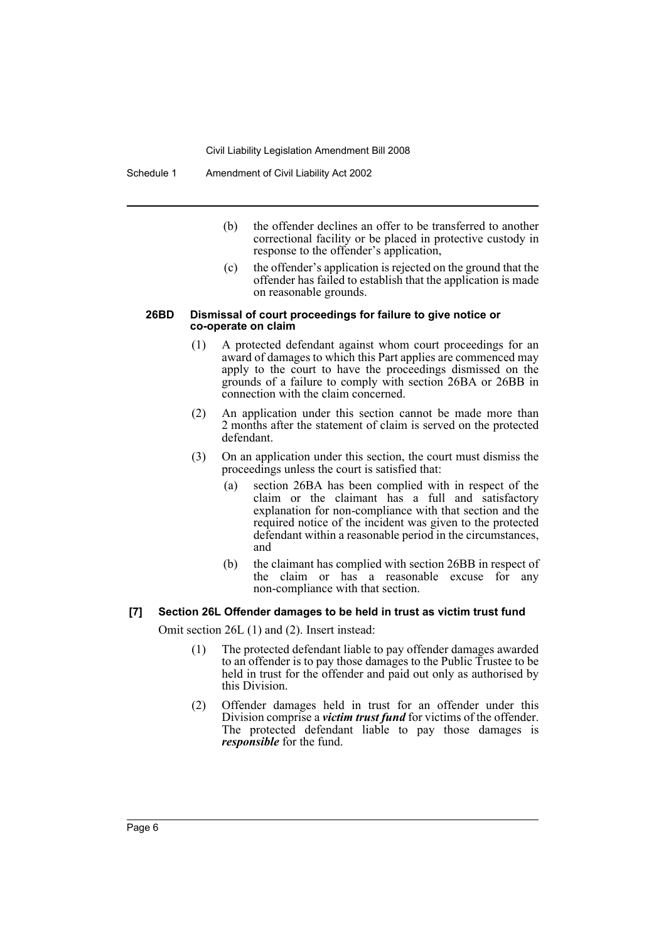- (b) the offender declines an offer to be transferred to another correctional facility or be placed in protective custody in response to the offender's application,
- (c) the offender's application is rejected on the ground that the offender has failed to establish that the application is made on reasonable grounds.

#### **26BD Dismissal of court proceedings for failure to give notice or co-operate on claim**

- (1) A protected defendant against whom court proceedings for an award of damages to which this Part applies are commenced may apply to the court to have the proceedings dismissed on the grounds of a failure to comply with section 26BA or 26BB in connection with the claim concerned.
- (2) An application under this section cannot be made more than 2 months after the statement of claim is served on the protected defendant.
- (3) On an application under this section, the court must dismiss the proceedings unless the court is satisfied that:
	- (a) section 26BA has been complied with in respect of the claim or the claimant has a full and satisfactory explanation for non-compliance with that section and the required notice of the incident was given to the protected defendant within a reasonable period in the circumstances, and
	- (b) the claimant has complied with section 26BB in respect of the claim or has a reasonable excuse for any non-compliance with that section.

#### **[7] Section 26L Offender damages to be held in trust as victim trust fund**

Omit section 26L (1) and (2). Insert instead:

- (1) The protected defendant liable to pay offender damages awarded to an offender is to pay those damages to the Public Trustee to be held in trust for the offender and paid out only as authorised by this Division.
- (2) Offender damages held in trust for an offender under this Division comprise a *victim trust fund* for victims of the offender. The protected defendant liable to pay those damages is *responsible* for the fund.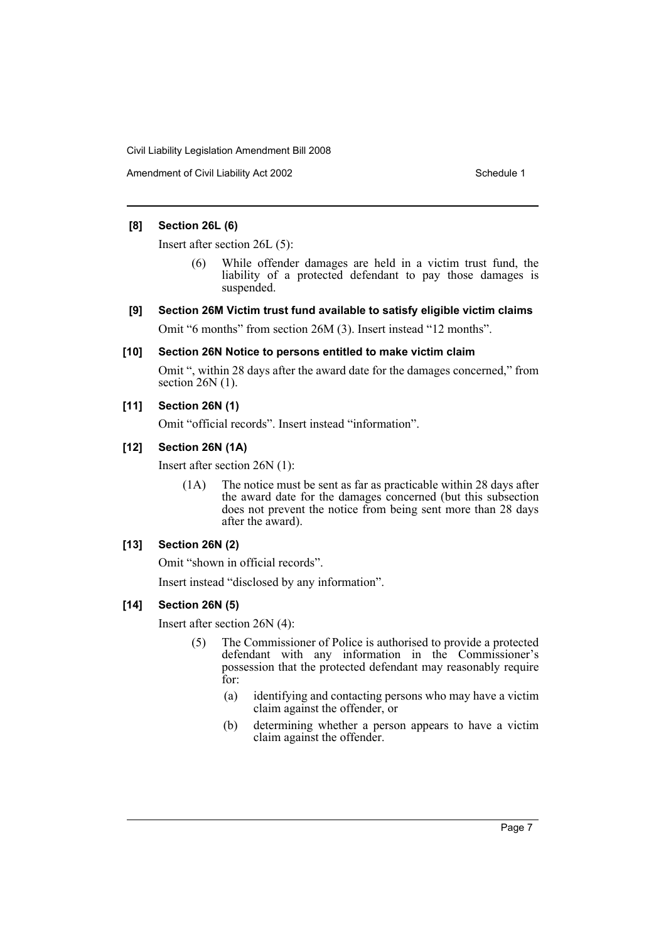Amendment of Civil Liability Act 2002 Schedule 1

## **[8] Section 26L (6)**

Insert after section 26L (5):

- (6) While offender damages are held in a victim trust fund, the liability of a protected defendant to pay those damages is suspended.
- **[9] Section 26M Victim trust fund available to satisfy eligible victim claims**

Omit "6 months" from section 26M (3). Insert instead "12 months".

## **[10] Section 26N Notice to persons entitled to make victim claim**

Omit ", within 28 days after the award date for the damages concerned," from section  $26N(1)$ .

## **[11] Section 26N (1)**

Omit "official records". Insert instead "information".

## **[12] Section 26N (1A)**

Insert after section 26N (1):

(1A) The notice must be sent as far as practicable within 28 days after the award date for the damages concerned (but this subsection does not prevent the notice from being sent more than 28 days after the award).

## **[13] Section 26N (2)**

Omit "shown in official records".

Insert instead "disclosed by any information".

## **[14] Section 26N (5)**

Insert after section 26N (4):

- (5) The Commissioner of Police is authorised to provide a protected defendant with any information in the Commissioner's possession that the protected defendant may reasonably require for:
	- (a) identifying and contacting persons who may have a victim claim against the offender, or
	- (b) determining whether a person appears to have a victim claim against the offender.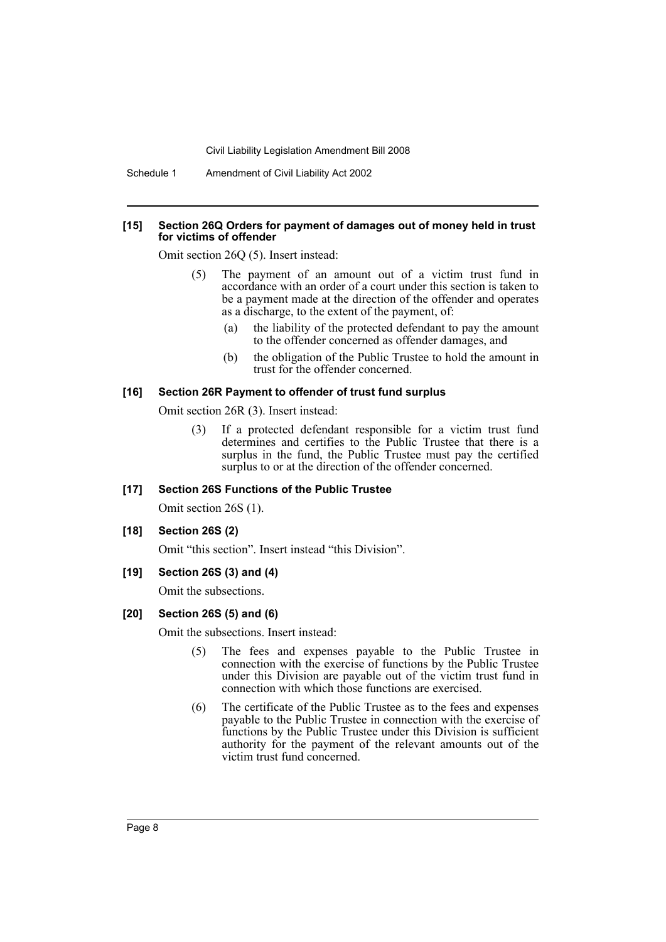Schedule 1 Amendment of Civil Liability Act 2002

#### **[15] Section 26Q Orders for payment of damages out of money held in trust for victims of offender**

Omit section 26Q (5). Insert instead:

- (5) The payment of an amount out of a victim trust fund in accordance with an order of a court under this section is taken to be a payment made at the direction of the offender and operates as a discharge, to the extent of the payment, of:
	- (a) the liability of the protected defendant to pay the amount to the offender concerned as offender damages, and
	- (b) the obligation of the Public Trustee to hold the amount in trust for the offender concerned.

#### **[16] Section 26R Payment to offender of trust fund surplus**

Omit section 26R (3). Insert instead:

(3) If a protected defendant responsible for a victim trust fund determines and certifies to the Public Trustee that there is a surplus in the fund, the Public Trustee must pay the certified surplus to or at the direction of the offender concerned.

## **[17] Section 26S Functions of the Public Trustee**

Omit section 26S (1).

#### **[18] Section 26S (2)**

Omit "this section". Insert instead "this Division".

#### **[19] Section 26S (3) and (4)**

Omit the subsections.

## **[20] Section 26S (5) and (6)**

Omit the subsections. Insert instead:

- (5) The fees and expenses payable to the Public Trustee in connection with the exercise of functions by the Public Trustee under this Division are payable out of the victim trust fund in connection with which those functions are exercised.
- (6) The certificate of the Public Trustee as to the fees and expenses payable to the Public Trustee in connection with the exercise of functions by the Public Trustee under this Division is sufficient authority for the payment of the relevant amounts out of the victim trust fund concerned.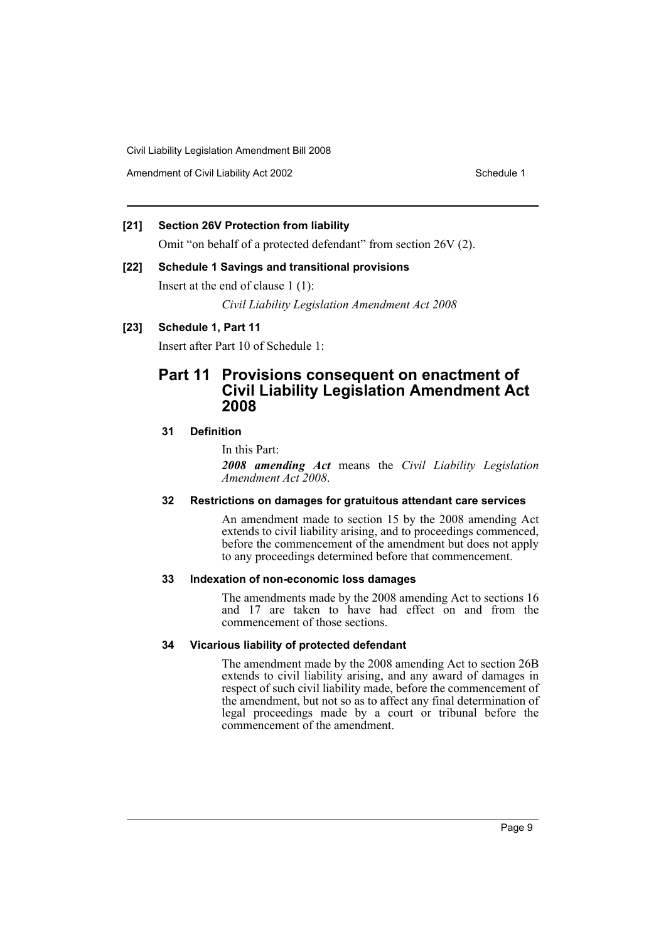Amendment of Civil Liability Act 2002 Schedule 1

## **[21] Section 26V Protection from liability**

Omit "on behalf of a protected defendant" from section 26V (2).

## **[22] Schedule 1 Savings and transitional provisions**

Insert at the end of clause 1 (1):

*Civil Liability Legislation Amendment Act 2008*

## **[23] Schedule 1, Part 11**

Insert after Part 10 of Schedule 1:

## **Part 11 Provisions consequent on enactment of Civil Liability Legislation Amendment Act 2008**

## **31 Definition**

#### In this Part:

*2008 amending Act* means the *Civil Liability Legislation Amendment Act 2008*.

## **32 Restrictions on damages for gratuitous attendant care services**

An amendment made to section 15 by the 2008 amending Act extends to civil liability arising, and to proceedings commenced, before the commencement of the amendment but does not apply to any proceedings determined before that commencement.

#### **33 Indexation of non-economic loss damages**

The amendments made by the 2008 amending Act to sections 16 and 17 are taken to have had effect on and from the commencement of those sections.

#### **34 Vicarious liability of protected defendant**

The amendment made by the 2008 amending Act to section 26B extends to civil liability arising, and any award of damages in respect of such civil liability made, before the commencement of the amendment, but not so as to affect any final determination of legal proceedings made by a court or tribunal before the commencement of the amendment.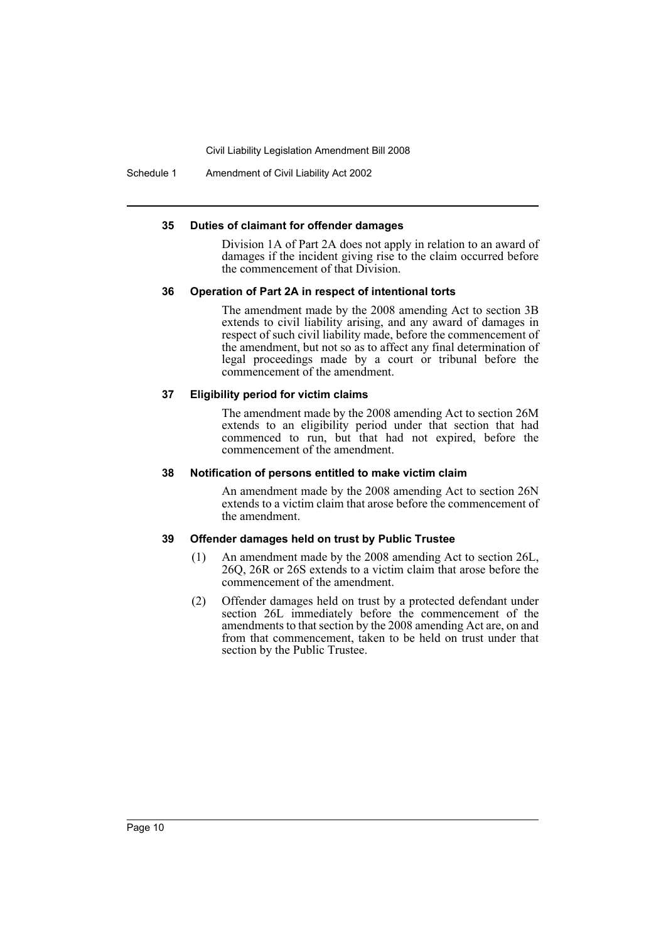Schedule 1 Amendment of Civil Liability Act 2002

#### **35 Duties of claimant for offender damages**

Division 1A of Part 2A does not apply in relation to an award of damages if the incident giving rise to the claim occurred before the commencement of that Division.

#### **36 Operation of Part 2A in respect of intentional torts**

The amendment made by the 2008 amending Act to section 3B extends to civil liability arising, and any award of damages in respect of such civil liability made, before the commencement of the amendment, but not so as to affect any final determination of legal proceedings made by a court or tribunal before the commencement of the amendment.

#### **37 Eligibility period for victim claims**

The amendment made by the 2008 amending Act to section 26M extends to an eligibility period under that section that had commenced to run, but that had not expired, before the commencement of the amendment.

#### **38 Notification of persons entitled to make victim claim**

An amendment made by the 2008 amending Act to section 26N extends to a victim claim that arose before the commencement of the amendment.

#### **39 Offender damages held on trust by Public Trustee**

- (1) An amendment made by the 2008 amending Act to section 26L, 26Q, 26R or 26S extends to a victim claim that arose before the commencement of the amendment.
- (2) Offender damages held on trust by a protected defendant under section 26L immediately before the commencement of the amendments to that section by the 2008 amending Act are, on and from that commencement, taken to be held on trust under that section by the Public Trustee.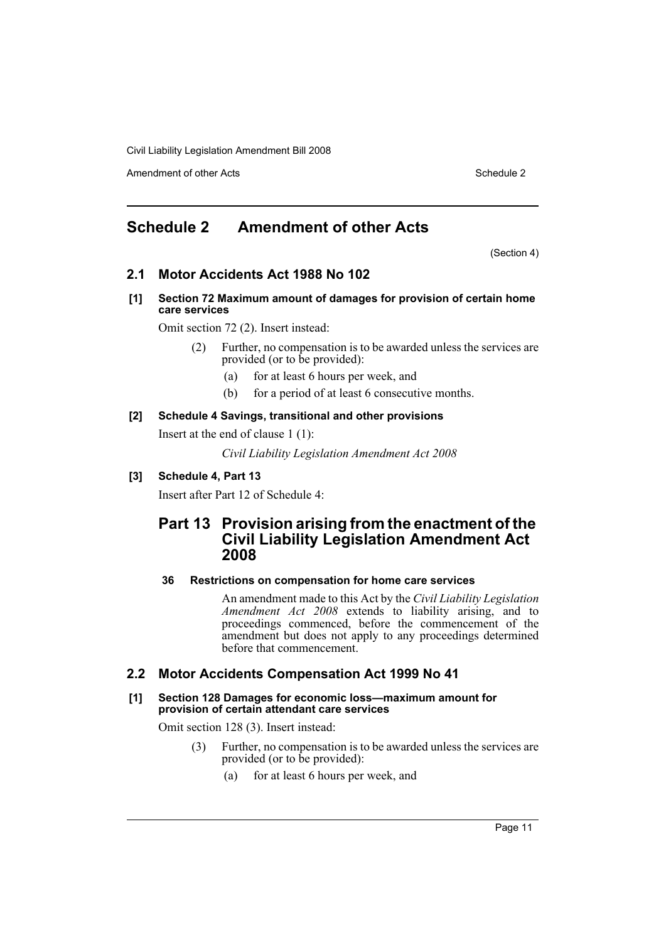Amendment of other Acts **Schedule 2** and the 2 and the 2 and 2 and 2 and 2 and 2 and 2 and 2 and 2 and 2 and 2 and 2 and 2 and 2 and 2 and 2 and 2 and 2 and 2 and 2 and 2 and 2 and 2 and 2 and 2 and 2 and 2 and 2 and 2 and

# <span id="page-11-0"></span>**Schedule 2 Amendment of other Acts**

(Section 4)

## **2.1 Motor Accidents Act 1988 No 102**

**[1] Section 72 Maximum amount of damages for provision of certain home care services**

Omit section 72 (2). Insert instead:

- (2) Further, no compensation is to be awarded unless the services are provided (or to be provided):
	- (a) for at least 6 hours per week, and
	- (b) for a period of at least 6 consecutive months.

## **[2] Schedule 4 Savings, transitional and other provisions**

Insert at the end of clause 1 (1):

*Civil Liability Legislation Amendment Act 2008*

## **[3] Schedule 4, Part 13**

Insert after Part 12 of Schedule 4:

## **Part 13 Provision arising from the enactment of the Civil Liability Legislation Amendment Act 2008**

## **36 Restrictions on compensation for home care services**

An amendment made to this Act by the *Civil Liability Legislation Amendment Act 2008* extends to liability arising, and to proceedings commenced, before the commencement of the amendment but does not apply to any proceedings determined before that commencement.

## **2.2 Motor Accidents Compensation Act 1999 No 41**

#### **[1] Section 128 Damages for economic loss—maximum amount for provision of certain attendant care services**

Omit section 128 (3). Insert instead:

- (3) Further, no compensation is to be awarded unless the services are provided (or to be provided):
	- (a) for at least 6 hours per week, and